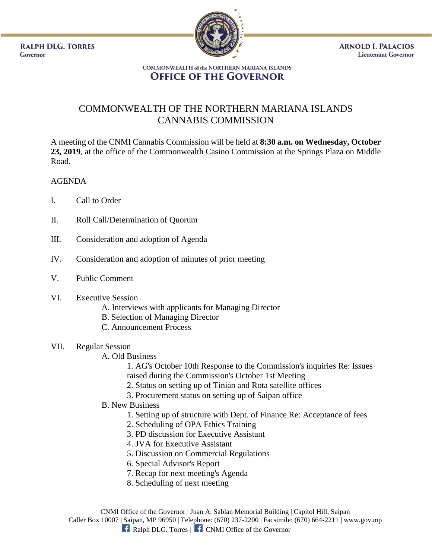**RALPH DLG. TORRES** Governor



**ARNOLD I. PALACIOS Lieutenant Governor** 

#### **COMMONWEALTH of the NORTHERN MARIANA ISLANDS OFFICE OF THE GOVERNOR**

# COMMONWEALTH OF THE NORTHERN MARIANA ISLANDS CANNABIS COMMISSION

A meeting of the CNMI Cannabis Commission will be held at **8:30 a.m. on Wednesday, October 23, 2019**, at the office of the Commonwealth Casino Commission at the Springs Plaza on Middle Road.

## AGENDA

- I. Call to Order
- II. Roll Call/Determination of Quorum
- III. Consideration and adoption of Agenda
- IV. Consideration and adoption of minutes of prior meeting
- V. Public Comment

## VI. Executive Session

- A. Interviews with applicants for Managing Director
- B. Selection of Managing Director
- C. Announcement Process

## VII. Regular Session

A. Old Business

1. AG's October 10th Response to the Commission's inquiries Re: Issues raised during the Commission's October 1st Meeting

- 2. Status on setting up of Tinian and Rota satellite offices
- 3. Procurement status on setting up of Saipan office
- B. New Business
	- 1. Setting up of structure with Dept. of Finance Re: Acceptance of fees
	- 2. Scheduling of OPA Ethics Training
	- 3. PD discussion for Executive Assistant
	- 4. JVA for Executive Assistant
	- 5. Discussion on Commercial Regulations
	- 6. Special Advisor's Report
	- 7. Recap for next meeting's Agenda
	- 8. Scheduling of next meeting